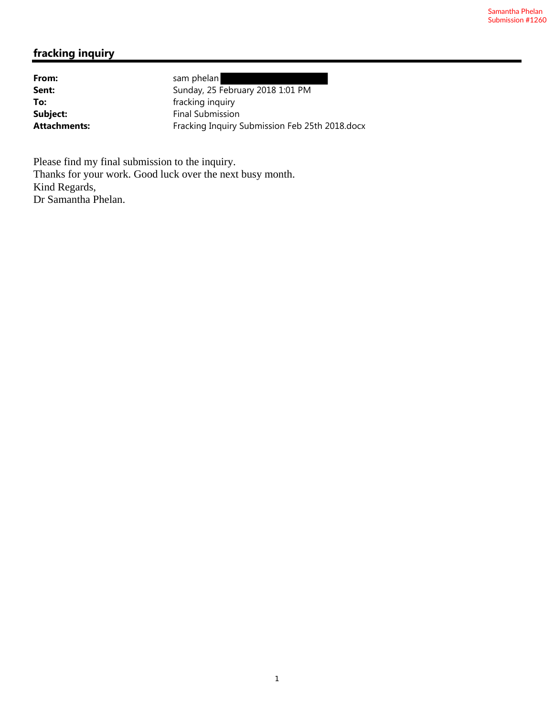# **fracking inquiry**

From: sam phelan

**Sent:** Sunday, 25 February 2018 1:01 PM **To:** fracking inquiry **Subject:** Final Submission Attachments: Fracking Inquiry Submission Feb 25th 2018.docx

Please find my final submission to the inquiry. Thanks for your work. Good luck over the next busy month. Kind Regards, Dr Samantha Phelan.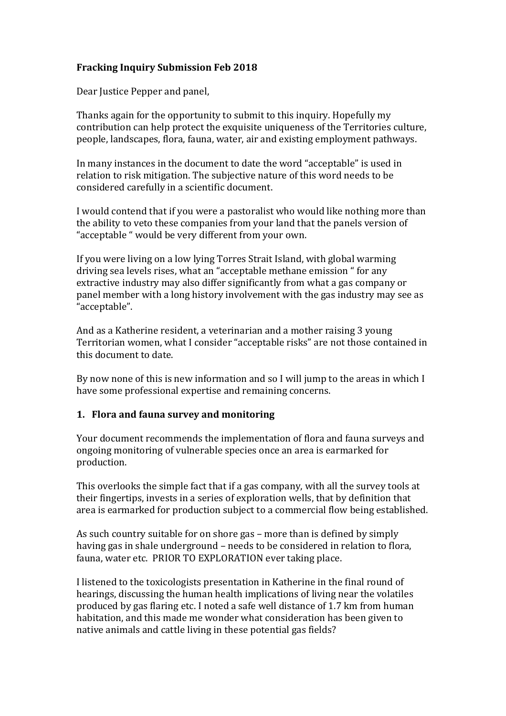# **Fracking Inquiry Submission Feb 2018**

Dear Justice Pepper and panel,

Thanks again for the opportunity to submit to this inquiry. Hopefully my contribution can help protect the exquisite uniqueness of the Territories culture, people, landscapes, flora, fauna, water, air and existing employment pathways.

In many instances in the document to date the word "acceptable" is used in relation to risk mitigation. The subjective nature of this word needs to be considered carefully in a scientific document.

I would contend that if you were a pastoralist who would like nothing more than the ability to veto these companies from your land that the panels version of "acceptable " would be very different from your own.

If you were living on a low lying Torres Strait Island, with global warming driving sea levels rises, what an "acceptable methane emission " for any extractive industry may also differ significantly from what a gas company or panel member with a long history involvement with the gas industry may see as "acceptable".

And as a Katherine resident, a veterinarian and a mother raising 3 young Territorian women, what I consider "acceptable risks" are not those contained in this document to date.

By now none of this is new information and so I will jump to the areas in which I have some professional expertise and remaining concerns.

# **1. Flora and fauna survey and monitoring**

Your document recommends the implementation of flora and fauna surveys and ongoing monitoring of vulnerable species once an area is earmarked for production.

This overlooks the simple fact that if a gas company, with all the survey tools at their fingertips, invests in a series of exploration wells, that by definition that area is earmarked for production subject to a commercial flow being established.

As such country suitable for on shore gas – more than is defined by simply having gas in shale underground – needs to be considered in relation to flora, fauna, water etc. PRIOR TO EXPLORATION ever taking place.

I listened to the toxicologists presentation in Katherine in the final round of hearings, discussing the human health implications of living near the volatiles produced by gas flaring etc. I noted a safe well distance of 1.7 km from human habitation, and this made me wonder what consideration has been given to native animals and cattle living in these potential gas fields?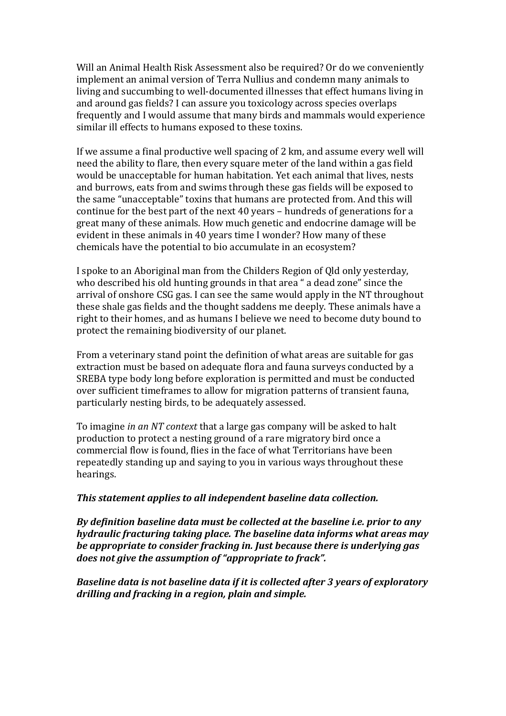Will an Animal Health Risk Assessment also be required? Or do we conveniently implement an animal version of Terra Nullius and condemn many animals to living and succumbing to well-documented illnesses that effect humans living in and around gas fields? I can assure you toxicology across species overlaps frequently and I would assume that many birds and mammals would experience similar ill effects to humans exposed to these toxins.

If we assume a final productive well spacing of 2 km, and assume every well will need the ability to flare, then every square meter of the land within a gas field would be unacceptable for human habitation. Yet each animal that lives, nests and burrows, eats from and swims through these gas fields will be exposed to the same "unacceptable" toxins that humans are protected from. And this will continue for the best part of the next 40 years – hundreds of generations for a great many of these animals. How much genetic and endocrine damage will be evident in these animals in 40 years time I wonder? How many of these chemicals have the potential to bio accumulate in an ecosystem?

I spoke to an Aboriginal man from the Childers Region of Qld only yesterday, who described his old hunting grounds in that area " a dead zone" since the arrival of onshore CSG gas. I can see the same would apply in the NT throughout these shale gas fields and the thought saddens me deeply. These animals have a right to their homes, and as humans I believe we need to become duty bound to protect the remaining biodiversity of our planet.

From a veterinary stand point the definition of what areas are suitable for gas extraction must be based on adequate flora and fauna surveys conducted by a SREBA type body long before exploration is permitted and must be conducted over sufficient timeframes to allow for migration patterns of transient fauna, particularly nesting birds, to be adequately assessed.

To imagine *in an NT context* that a large gas company will be asked to halt production to protect a nesting ground of a rare migratory bird once a commercial flow is found, flies in the face of what Territorians have been repeatedly standing up and saying to you in various ways throughout these hearings.

#### *This statement applies to all independent baseline data collection.*

*By definition baseline data must be collected at the baseline i.e. prior to any hydraulic fracturing taking place. The baseline data informs what areas may be appropriate to consider fracking in. Just because there is underlying gas does not give the assumption of "appropriate to frack".* 

*Baseline data is not baseline data if it is collected after 3 years of exploratory drilling and fracking in a region, plain and simple.*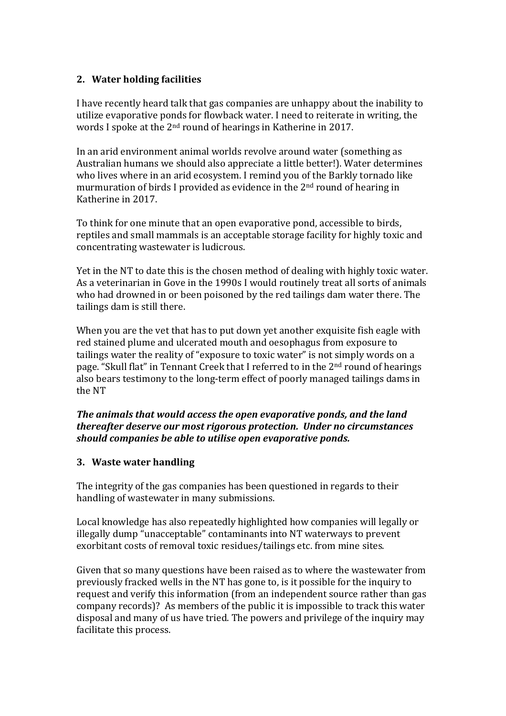# **2. Water holding facilities**

I have recently heard talk that gas companies are unhappy about the inability to utilize evaporative ponds for flowback water. I need to reiterate in writing, the words I spoke at the 2nd round of hearings in Katherine in 2017.

In an arid environment animal worlds revolve around water (something as Australian humans we should also appreciate a little better!). Water determines who lives where in an arid ecosystem. I remind you of the Barkly tornado like murmuration of birds I provided as evidence in the 2nd round of hearing in Katherine in 2017.

To think for one minute that an open evaporative pond, accessible to birds, reptiles and small mammals is an acceptable storage facility for highly toxic and concentrating wastewater is ludicrous.

Yet in the NT to date this is the chosen method of dealing with highly toxic water. As a veterinarian in Gove in the 1990s I would routinely treat all sorts of animals who had drowned in or been poisoned by the red tailings dam water there. The tailings dam is still there.

When you are the vet that has to put down yet another exquisite fish eagle with red stained plume and ulcerated mouth and oesophagus from exposure to tailings water the reality of "exposure to toxic water" is not simply words on a page. "Skull flat" in Tennant Creek that I referred to in the 2nd round of hearings also bears testimony to the long-term effect of poorly managed tailings dams in the NT

### *The animals that would access the open evaporative ponds, and the land thereafter deserve our most rigorous protection. Under no circumstances should companies be able to utilise open evaporative ponds.*

# **3. Waste water handling**

The integrity of the gas companies has been questioned in regards to their handling of wastewater in many submissions.

Local knowledge has also repeatedly highlighted how companies will legally or illegally dump "unacceptable" contaminants into NT waterways to prevent exorbitant costs of removal toxic residues/tailings etc. from mine sites.

Given that so many questions have been raised as to where the wastewater from previously fracked wells in the NT has gone to, is it possible for the inquiry to request and verify this information (from an independent source rather than gas company records)? As members of the public it is impossible to track this water disposal and many of us have tried. The powers and privilege of the inquiry may facilitate this process.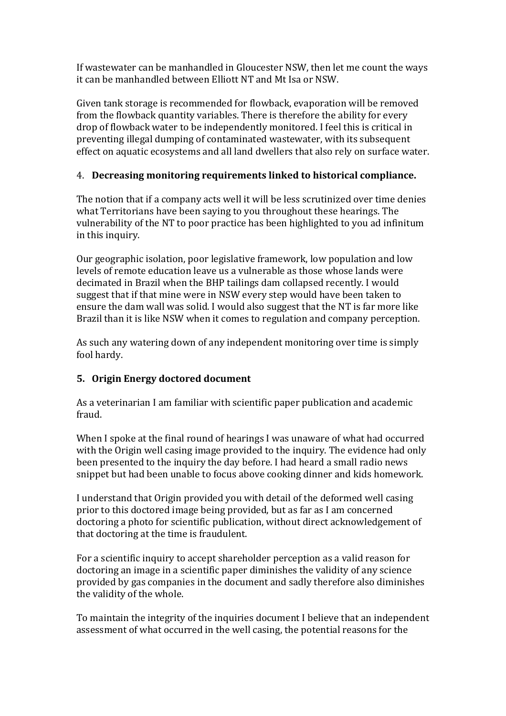If wastewater can be manhandled in Gloucester NSW, then let me count the ways it can be manhandled between Elliott NT and Mt Isa or NSW.

Given tank storage is recommended for flowback, evaporation will be removed from the flowback quantity variables. There is therefore the ability for every drop of flowback water to be independently monitored. I feel this is critical in preventing illegal dumping of contaminated wastewater, with its subsequent effect on aquatic ecosystems and all land dwellers that also rely on surface water.

# 4. **Decreasing monitoring requirements linked to historical compliance.**

The notion that if a company acts well it will be less scrutinized over time denies what Territorians have been saying to you throughout these hearings. The vulnerability of the NT to poor practice has been highlighted to you ad infinitum in this inquiry.

Our geographic isolation, poor legislative framework, low population and low levels of remote education leave us a vulnerable as those whose lands were decimated in Brazil when the BHP tailings dam collapsed recently. I would suggest that if that mine were in NSW every step would have been taken to ensure the dam wall was solid. I would also suggest that the NT is far more like Brazil than it is like NSW when it comes to regulation and company perception.

As such any watering down of any independent monitoring over time is simply fool hardy.

# **5. Origin Energy doctored document**

As a veterinarian I am familiar with scientific paper publication and academic fraud.

When I spoke at the final round of hearings I was unaware of what had occurred with the Origin well casing image provided to the inquiry. The evidence had only been presented to the inquiry the day before. I had heard a small radio news snippet but had been unable to focus above cooking dinner and kids homework.

I understand that Origin provided you with detail of the deformed well casing prior to this doctored image being provided, but as far as I am concerned doctoring a photo for scientific publication, without direct acknowledgement of that doctoring at the time is fraudulent.

For a scientific inquiry to accept shareholder perception as a valid reason for doctoring an image in a scientific paper diminishes the validity of any science provided by gas companies in the document and sadly therefore also diminishes the validity of the whole.

To maintain the integrity of the inquiries document I believe that an independent assessment of what occurred in the well casing, the potential reasons for the